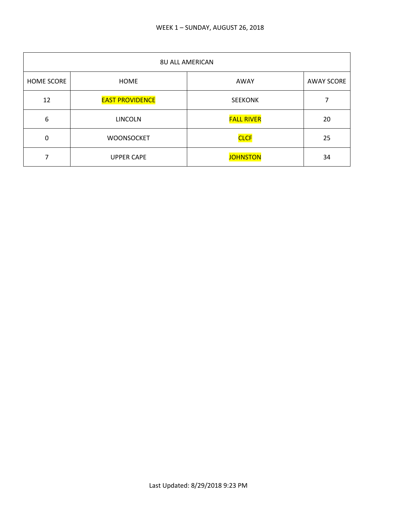| <b>8U ALL AMERICAN</b> |                        |                   |                   |
|------------------------|------------------------|-------------------|-------------------|
| <b>HOME SCORE</b>      | <b>HOME</b>            | AWAY              | <b>AWAY SCORE</b> |
| 12                     | <b>EAST PROVIDENCE</b> | <b>SEEKONK</b>    |                   |
| 6                      | <b>LINCOLN</b>         | <b>FALL RIVER</b> | 20                |
| 0                      | <b>WOONSOCKET</b>      | <b>CLCF</b>       | 25                |
|                        | <b>UPPER CAPE</b>      | <b>JOHNSTON</b>   | 34                |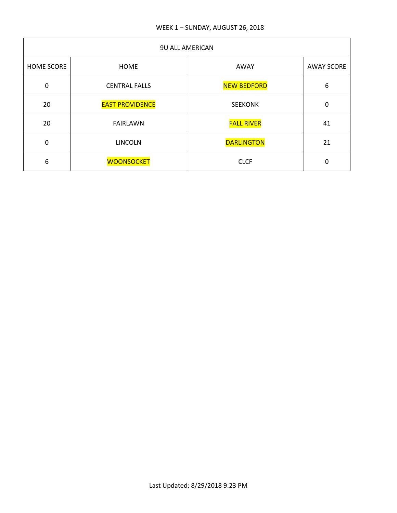## WEEK 1 – SUNDAY, AUGUST 26, 2018

| <b>9U ALL AMERICAN</b> |                        |                    |                   |
|------------------------|------------------------|--------------------|-------------------|
| <b>HOME SCORE</b>      | <b>HOME</b>            | AWAY               | <b>AWAY SCORE</b> |
| $\mathbf 0$            | <b>CENTRAL FALLS</b>   | <b>NEW BEDFORD</b> | 6                 |
| 20                     | <b>EAST PROVIDENCE</b> | <b>SEEKONK</b>     | 0                 |
| 20                     | <b>FAIRLAWN</b>        | <b>FALL RIVER</b>  | 41                |
| $\mathbf 0$            | <b>LINCOLN</b>         | <b>DARLINGTON</b>  | 21                |
| 6                      | <b>WOONSOCKET</b>      | <b>CLCF</b>        | 0                 |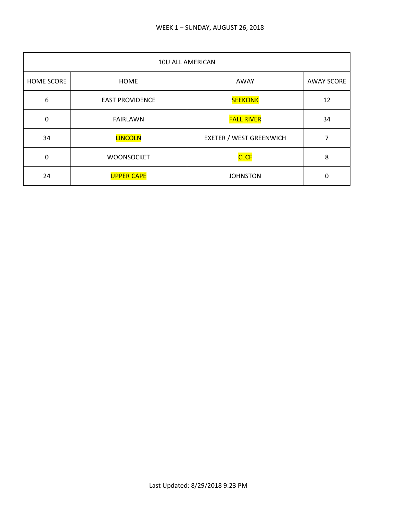| 10U ALL AMERICAN  |                        |                                |                   |
|-------------------|------------------------|--------------------------------|-------------------|
| <b>HOME SCORE</b> | <b>HOME</b>            | AWAY                           | <b>AWAY SCORE</b> |
| 6                 | <b>EAST PROVIDENCE</b> | <b>SEEKONK</b>                 | 12                |
| 0                 | <b>FAIRLAWN</b>        | <b>FALL RIVER</b>              | 34                |
| 34                | <b>LINCOLN</b>         | <b>EXETER / WEST GREENWICH</b> |                   |
| $\Omega$          | <b>WOONSOCKET</b>      | <b>CLCF</b>                    | 8                 |
| 24                | <b>UPPER CAPE</b>      | <b>JOHNSTON</b>                | 0                 |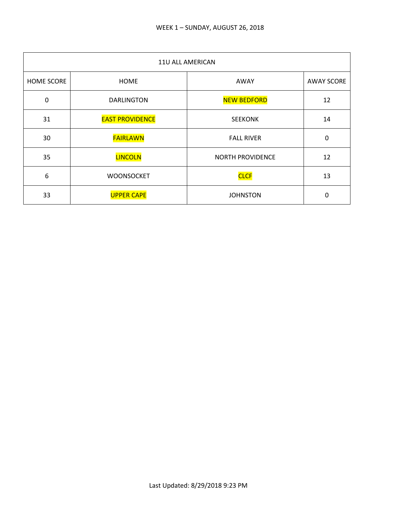| 11U ALL AMERICAN |                        |                         |                   |
|------------------|------------------------|-------------------------|-------------------|
| HOME SCORE       | <b>HOME</b>            | AWAY                    | <b>AWAY SCORE</b> |
| $\mathbf 0$      | <b>DARLINGTON</b>      | <b>NEW BEDFORD</b>      | 12                |
| 31               | <b>EAST PROVIDENCE</b> | <b>SEEKONK</b>          | 14                |
| 30               | <b>FAIRLAWN</b>        | <b>FALL RIVER</b>       | 0                 |
| 35               | <b>LINCOLN</b>         | <b>NORTH PROVIDENCE</b> | 12                |
| 6                | <b>WOONSOCKET</b>      | <b>CLCF</b>             | 13                |
| 33               | <b>UPPER CAPE</b>      | <b>JOHNSTON</b>         | 0                 |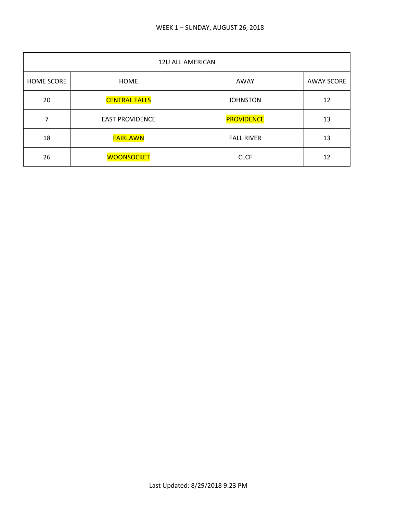| 12U ALL AMERICAN |                        |                   |                   |
|------------------|------------------------|-------------------|-------------------|
| HOME SCORE       | <b>HOME</b>            | AWAY              | <b>AWAY SCORE</b> |
| 20               | <b>CENTRAL FALLS</b>   | <b>JOHNSTON</b>   | 12                |
| 7                | <b>EAST PROVIDENCE</b> | <b>PROVIDENCE</b> | 13                |
| 18               | <b>FAIRLAWN</b>        | <b>FALL RIVER</b> | 13                |
| 26               | <b>WOONSOCKET</b>      | <b>CLCF</b>       | 12                |